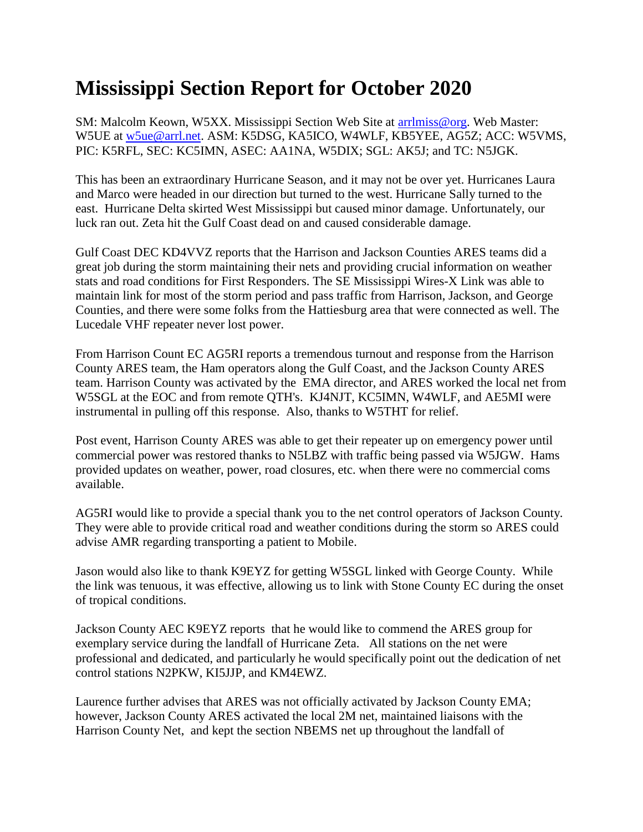## **Mississippi Section Report for October 2020**

SM: Malcolm Keown, W5XX. Mississippi Section Web Site at [arrlmiss@org.](mailto:arrlmiss@org) Web Master: W5UE at [w5ue@arrl.net.](mailto:w5ue@arrl.net) ASM: K5DSG, KA5ICO, W4WLF, KB5YEE, AG5Z; ACC: W5VMS, PIC: K5RFL, SEC: KC5IMN, ASEC: AA1NA, W5DIX; SGL: AK5J; and TC: N5JGK.

This has been an extraordinary Hurricane Season, and it may not be over yet. Hurricanes Laura and Marco were headed in our direction but turned to the west. Hurricane Sally turned to the east. Hurricane Delta skirted West Mississippi but caused minor damage. Unfortunately, our luck ran out. Zeta hit the Gulf Coast dead on and caused considerable damage.

Gulf Coast DEC KD4VVZ reports that the Harrison and Jackson Counties ARES teams did a great job during the storm maintaining their nets and providing crucial information on weather stats and road conditions for First Responders. The SE Mississippi Wires-X Link was able to maintain link for most of the storm period and pass traffic from Harrison, Jackson, and George Counties, and there were some folks from the Hattiesburg area that were connected as well. The Lucedale VHF repeater never lost power.

From Harrison Count EC AG5RI reports a tremendous turnout and response from the Harrison County ARES team, the Ham operators along the Gulf Coast, and the Jackson County ARES team. Harrison County was activated by the EMA director, and ARES worked the local net from W5SGL at the EOC and from remote QTH's. KJ4NJT, KC5IMN, W4WLF, and AE5MI were instrumental in pulling off this response. Also, thanks to W5THT for relief.

Post event, Harrison County ARES was able to get their repeater up on emergency power until commercial power was restored thanks to N5LBZ with traffic being passed via W5JGW. Hams provided updates on weather, power, road closures, etc. when there were no commercial coms available.

AG5RI would like to provide a special thank you to the net control operators of Jackson County. They were able to provide critical road and weather conditions during the storm so ARES could advise AMR regarding transporting a patient to Mobile.

Jason would also like to thank K9EYZ for getting W5SGL linked with George County. While the link was tenuous, it was effective, allowing us to link with Stone County EC during the onset of tropical conditions.

Jackson County AEC K9EYZ reports that he would like to commend the ARES group for exemplary service during the landfall of Hurricane Zeta. All stations on the net were professional and dedicated, and particularly he would specifically point out the dedication of net control stations N2PKW, KI5JJP, and KM4EWZ.

Laurence further advises that ARES was not officially activated by Jackson County EMA; however, Jackson County ARES activated the local 2M net, maintained liaisons with the Harrison County Net, and kept the section NBEMS net up throughout the landfall of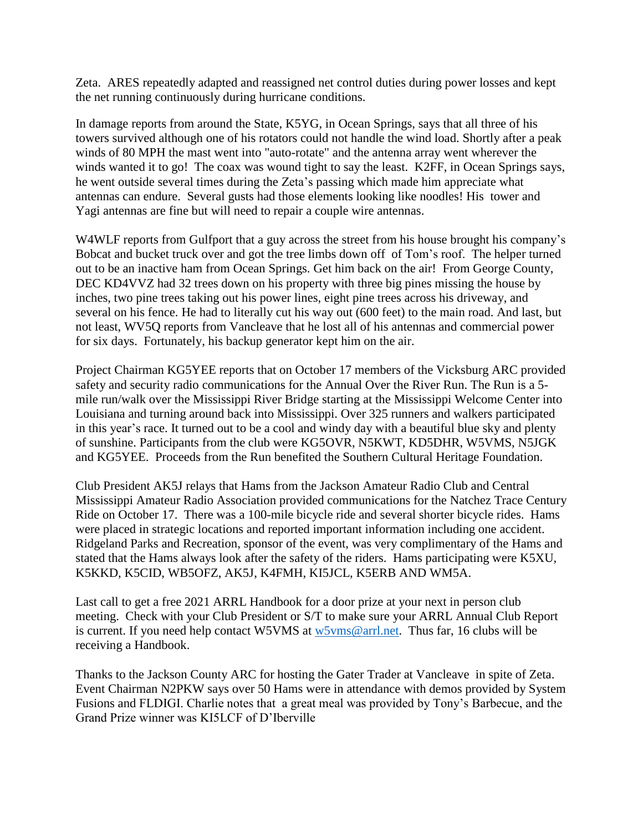Zeta. ARES repeatedly adapted and reassigned net control duties during power losses and kept the net running continuously during hurricane conditions.

In damage reports from around the State, K5YG, in Ocean Springs, says that all three of his towers survived although one of his rotators could not handle the wind load. Shortly after a peak winds of 80 MPH the mast went into "auto-rotate" and the antenna array went wherever the winds wanted it to go! The coax was wound tight to say the least. K2FF, in Ocean Springs says, he went outside several times during the Zeta's passing which made him appreciate what antennas can endure. Several gusts had those elements looking like noodles! His tower and Yagi antennas are fine but will need to repair a couple wire antennas.

W4WLF reports from Gulfport that a guy across the street from his house brought his company's Bobcat and bucket truck over and got the tree limbs down off of Tom's roof. The helper turned out to be an inactive ham from Ocean Springs. Get him back on the air! From George County, DEC KD4VVZ had 32 trees down on his property with three big pines missing the house by inches, two pine trees taking out his power lines, eight pine trees across his driveway, and several on his fence. He had to literally cut his way out (600 feet) to the main road. And last, but not least, WV5Q reports from Vancleave that he lost all of his antennas and commercial power for six days. Fortunately, his backup generator kept him on the air.

Project Chairman KG5YEE reports that on October 17 members of the Vicksburg ARC provided safety and security radio communications for the Annual Over the River Run. The Run is a 5 mile run/walk over the Mississippi River Bridge starting at the Mississippi Welcome Center into Louisiana and turning around back into Mississippi. Over 325 runners and walkers participated in this year's race. It turned out to be a cool and windy day with a beautiful blue sky and plenty of sunshine. Participants from the club were KG5OVR, N5KWT, KD5DHR, W5VMS, N5JGK and KG5YEE. Proceeds from the Run benefited the Southern Cultural Heritage Foundation.

Club President AK5J relays that Hams from the Jackson Amateur Radio Club and Central Mississippi Amateur Radio Association provided communications for the Natchez Trace Century Ride on October 17. There was a 100-mile bicycle ride and several shorter bicycle rides. Hams were placed in strategic locations and reported important information including one accident. Ridgeland Parks and Recreation, sponsor of the event, was very complimentary of the Hams and stated that the Hams always look after the safety of the riders. Hams participating were K5XU, K5KKD, K5CID, WB5OFZ, AK5J, K4FMH, KI5JCL, K5ERB AND WM5A.

Last call to get a free 2021 ARRL Handbook for a door prize at your next in person club meeting. Check with your Club President or S/T to make sure your ARRL Annual Club Report is current. If you need help contact W5VMS at [w5vms@arrl.net.](mailto:w5vms@arrl.net) Thus far, 16 clubs will be receiving a Handbook.

Thanks to the Jackson County ARC for hosting the Gater Trader at Vancleave in spite of Zeta. Event Chairman N2PKW says over 50 Hams were in attendance with demos provided by System Fusions and FLDIGI. Charlie notes that a great meal was provided by Tony's Barbecue, and the Grand Prize winner was KI5LCF of D'Iberville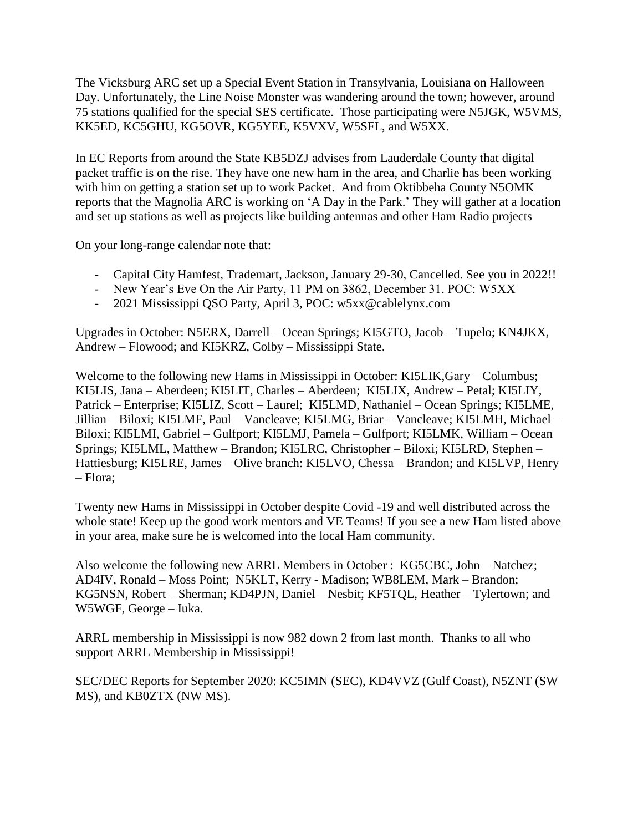The Vicksburg ARC set up a Special Event Station in Transylvania, Louisiana on Halloween Day. Unfortunately, the Line Noise Monster was wandering around the town; however, around 75 stations qualified for the special SES certificate. Those participating were N5JGK, W5VMS, KK5ED, KC5GHU, KG5OVR, KG5YEE, K5VXV, W5SFL, and W5XX.

In EC Reports from around the State KB5DZJ advises from Lauderdale County that digital packet traffic is on the rise. They have one new ham in the area, and Charlie has been working with him on getting a station set up to work Packet. And from Oktibbeha County N5OMK reports that the Magnolia ARC is working on 'A Day in the Park.' They will gather at a location and set up stations as well as projects like building antennas and other Ham Radio projects

On your long-range calendar note that:

- Capital City Hamfest, Trademart, Jackson, January 29-30, Cancelled. See you in 2022!!
- New Year's Eve On the Air Party, 11 PM on 3862, December 31. POC: W5XX
- 2021 Mississippi QSO Party, April 3, POC: w5xx@cablelynx.com

Upgrades in October: N5ERX, Darrell – Ocean Springs; KI5GTO, Jacob – Tupelo; KN4JKX, Andrew – Flowood; and KI5KRZ, Colby – Mississippi State.

Welcome to the following new Hams in Mississippi in October: KI5LIK, Gary – Columbus; KI5LIS, Jana – Aberdeen; KI5LIT, Charles – Aberdeen; KI5LIX, Andrew – Petal; KI5LIY, Patrick – Enterprise; KI5LIZ, Scott – Laurel; KI5LMD, Nathaniel – Ocean Springs; KI5LME, Jillian – Biloxi; KI5LMF, Paul – Vancleave; KI5LMG, Briar – Vancleave; KI5LMH, Michael – Biloxi; KI5LMI, Gabriel – Gulfport; KI5LMJ, Pamela – Gulfport; KI5LMK, William – Ocean Springs; KI5LML, Matthew – Brandon; KI5LRC, Christopher – Biloxi; KI5LRD, Stephen – Hattiesburg; KI5LRE, James – Olive branch: KI5LVO, Chessa – Brandon; and KI5LVP, Henry – Flora;

Twenty new Hams in Mississippi in October despite Covid -19 and well distributed across the whole state! Keep up the good work mentors and VE Teams! If you see a new Ham listed above in your area, make sure he is welcomed into the local Ham community.

Also welcome the following new ARRL Members in October : KG5CBC, John – Natchez; AD4IV, Ronald – Moss Point; N5KLT, Kerry - Madison; WB8LEM, Mark – Brandon; KG5NSN, Robert – Sherman; KD4PJN, Daniel – Nesbit; KF5TQL, Heather – Tylertown; and W5WGF, George – Iuka.

ARRL membership in Mississippi is now 982 down 2 from last month. Thanks to all who support ARRL Membership in Mississippi!

SEC/DEC Reports for September 2020: KC5IMN (SEC), KD4VVZ (Gulf Coast), N5ZNT (SW MS), and KB0ZTX (NW MS).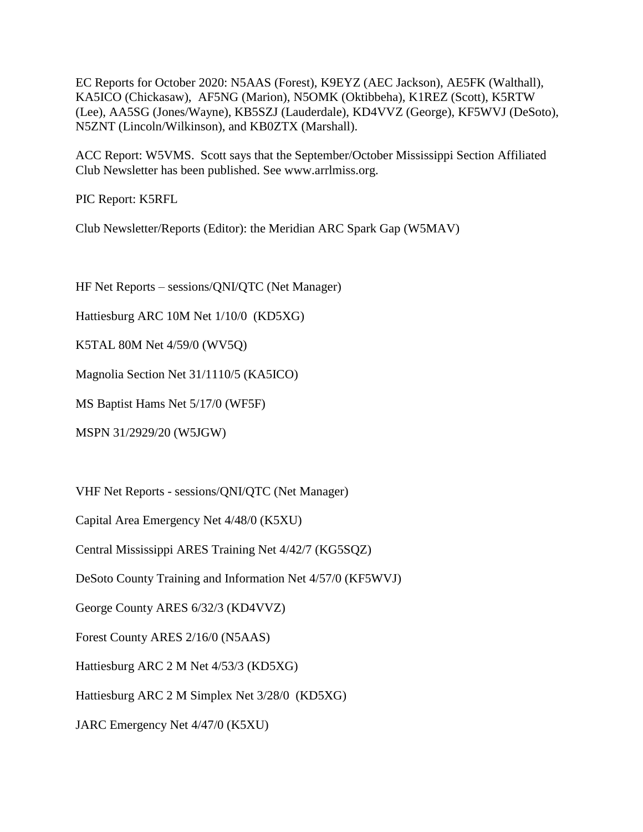EC Reports for October 2020: N5AAS (Forest), K9EYZ (AEC Jackson), AE5FK (Walthall), KA5ICO (Chickasaw), AF5NG (Marion), N5OMK (Oktibbeha), K1REZ (Scott), K5RTW (Lee), AA5SG (Jones/Wayne), KB5SZJ (Lauderdale), KD4VVZ (George), KF5WVJ (DeSoto), N5ZNT (Lincoln/Wilkinson), and KB0ZTX (Marshall).

ACC Report: W5VMS. Scott says that the September/October Mississippi Section Affiliated Club Newsletter has been published. See www.arrlmiss.org.

PIC Report: K5RFL

Club Newsletter/Reports (Editor): the Meridian ARC Spark Gap (W5MAV)

HF Net Reports – sessions/QNI/QTC (Net Manager)

Hattiesburg ARC 10M Net 1/10/0 (KD5XG)

K5TAL 80M Net 4/59/0 (WV5Q)

Magnolia Section Net 31/1110/5 (KA5ICO)

MS Baptist Hams Net 5/17/0 (WF5F)

MSPN 31/2929/20 (W5JGW)

VHF Net Reports - sessions/QNI/QTC (Net Manager)

Capital Area Emergency Net 4/48/0 (K5XU)

Central Mississippi ARES Training Net 4/42/7 (KG5SQZ)

DeSoto County Training and Information Net 4/57/0 (KF5WVJ)

George County ARES 6/32/3 (KD4VVZ)

Forest County ARES 2/16/0 (N5AAS)

Hattiesburg ARC 2 M Net 4/53/3 (KD5XG)

Hattiesburg ARC 2 M Simplex Net 3/28/0 (KD5XG)

JARC Emergency Net 4/47/0 (K5XU)